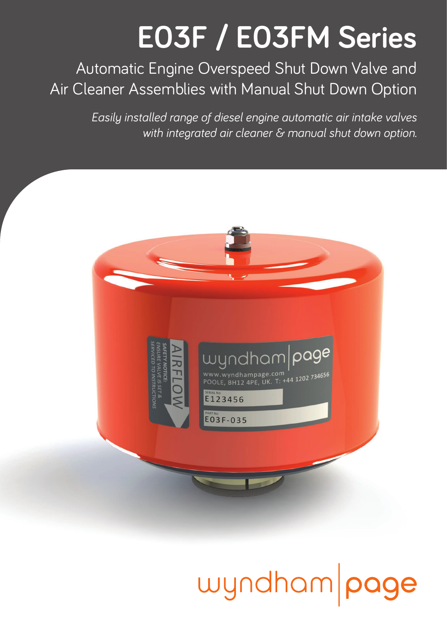## **E03F / E03FM Series**

Automatic Engine Overspeed Shut Down Valve and Air Cleaner Assemblies with Manual Shut Down Option

> *Easily installed range of diesel engine automatic air intake valves with integrated air cleaner & manual shut down option.*



## wyndham page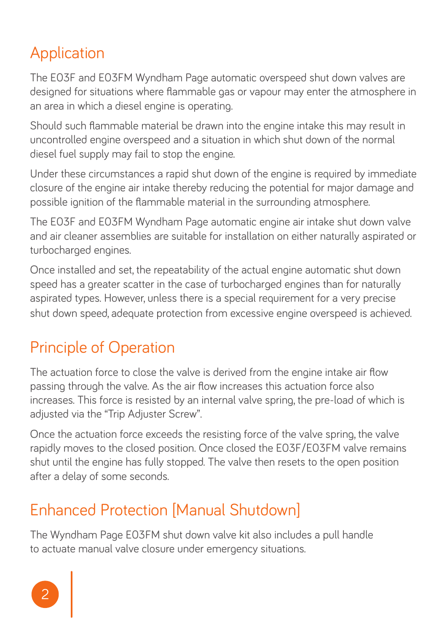### Application

The E03F and E03FM Wyndham Page automatic overspeed shut down valves are designed for situations where flammable gas or vapour may enter the atmosphere in an area in which a diesel engine is operating.

Should such flammable material be drawn into the engine intake this may result in uncontrolled engine overspeed and a situation in which shut down of the normal diesel fuel supply may fail to stop the engine.

Under these circumstances a rapid shut down of the engine is required by immediate closure of the engine air intake thereby reducing the potential for major damage and possible ignition of the flammable material in the surrounding atmosphere.

The E03F and E03FM Wyndham Page automatic engine air intake shut down valve and air cleaner assemblies are suitable for installation on either naturally aspirated or turbocharged engines.

Once installed and set, the repeatability of the actual engine automatic shut down speed has a greater scatter in the case of turbocharged engines than for naturally aspirated types. However, unless there is a special requirement for a very precise shut down speed, adequate protection from excessive engine overspeed is achieved.

### Principle of Operation

The actuation force to close the valve is derived from the engine intake air flow passing through the valve. As the air flow increases this actuation force also increases. This force is resisted by an internal valve spring, the pre-load of which is adjusted via the "Trip Adjuster Screw".

Once the actuation force exceeds the resisting force of the valve spring, the valve rapidly moves to the closed position. Once closed the E03F/E03FM valve remains shut until the engine has fully stopped. The valve then resets to the open position after a delay of some seconds.

### Enhanced Protection [Manual Shutdown]

The Wyndham Page E03FM shut down valve kit also includes a pull handle to actuate manual valve closure under emergency situations.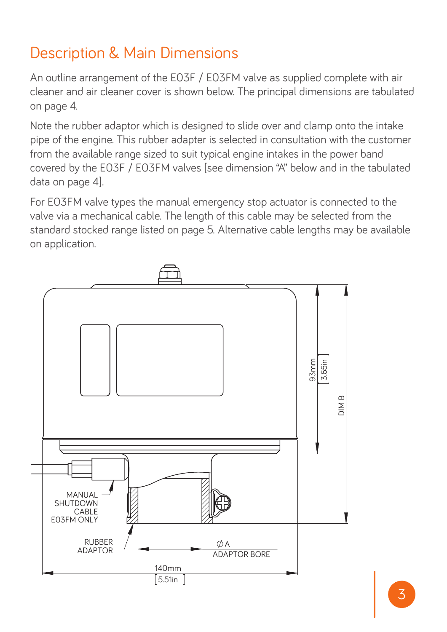#### Description & Main Dimensions

An outline arrangement of the E03F / E03FM valve as supplied complete with air cleaner and air cleaner cover is shown below. The principal dimensions are tabulated on page 4.

Note the rubber adaptor which is designed to slide over and clamp onto the intake pipe of the engine. This rubber adapter is selected in consultation with the customer from the available range sized to suit typical engine intakes in the power band covered by the E03F / E03FM valves [see dimension "A" below and in the tabulated data on page 4].

For E03FM valve types the manual emergency stop actuator is connected to the valve via a mechanical cable. The length of this cable may be selected from the standard stocked range listed on page 5. Alternative cable lengths may be available on application.

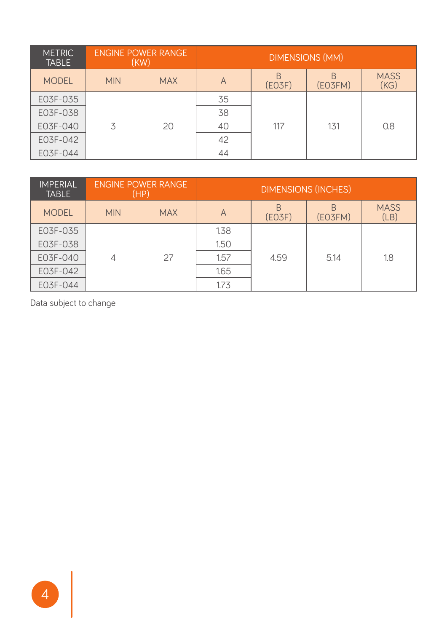| <b>METRIC</b><br><b>TABLE</b> | <b>ENGINE POWER RANGE</b><br>(KW) |            | <b>DIMENSIONS (MM)</b> |       |         |                     |
|-------------------------------|-----------------------------------|------------|------------------------|-------|---------|---------------------|
| <b>MODEL</b>                  | <b>MIN</b>                        | <b>MAX</b> | Α                      | EO3F) | (EO3FM) | <b>MASS</b><br>(KG) |
| E03F-035                      |                                   |            | 35                     |       |         |                     |
| E03F-038                      |                                   |            | 38                     |       |         |                     |
| E03F-040                      | 3                                 | 20         | 40                     | 117   | 131     | 0.8                 |
| E03F-042                      |                                   |            | 42                     |       |         |                     |
| E03F-044                      |                                   |            | 44                     |       |         |                     |

| <b>IMPERIAL</b><br><b>TABLE</b> | <b>ENGINE POWER RANGE</b><br>(HP) |            | <b>DIMENSIONS (INCHES)</b> |        |              |                     |
|---------------------------------|-----------------------------------|------------|----------------------------|--------|--------------|---------------------|
| <b>MODEL</b>                    | <b>MIN</b>                        | <b>MAX</b> | A                          | (EO3F) | R<br>(EO3FM) | <b>MASS</b><br>(LB) |
| E03F-035                        |                                   |            | 1.38                       |        |              |                     |
| E03F-038                        |                                   |            | 1.50                       |        |              |                     |
| E03F-040                        | 4                                 | 27         | 1.57                       | 4.59   | 5.14         | 1.8                 |
| E03F-042                        |                                   |            | 1.65                       |        |              |                     |
| E03F-044                        |                                   |            | 1.73                       |        |              |                     |

Data subject to change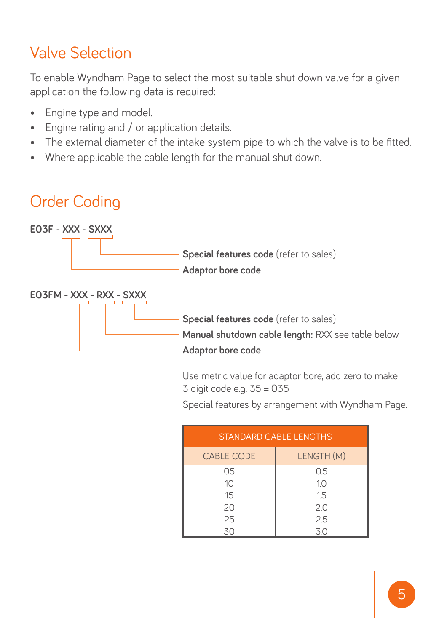#### Valve Selection

To enable Wyndham Page to select the most suitable shut down valve for a given application the following data is required:

- Engine type and model.
- Engine rating and / or application details.
- The external diameter of the intake system pipe to which the valve is to be fitted.
- Where applicable the cable length for the manual shut down.

## Order Coding



Use metric value for adaptor bore, add zero to make 3 digit code e.g. 35 = 035

Special features by arrangement with Wyndham Page.

| <b>STANDARD CABLE LENGTHS</b> |            |  |  |  |
|-------------------------------|------------|--|--|--|
| <b>CABLE CODE</b>             | LENGTH (M) |  |  |  |
| 05                            | 0.5        |  |  |  |
| 10                            | 1.0        |  |  |  |
| 15                            | 1.5        |  |  |  |
| 20                            | 2.0        |  |  |  |
| 25                            | 2.5        |  |  |  |
| 30                            | 30         |  |  |  |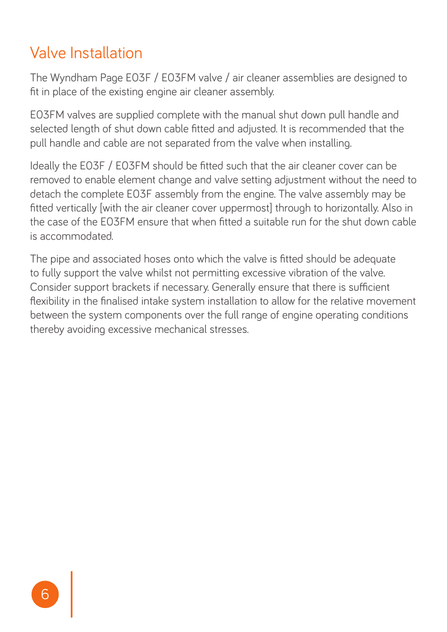#### Valve Installation

The Wyndham Page E03F / E03FM valve / air cleaner assemblies are designed to fit in place of the existing engine air cleaner assembly.

E03FM valves are supplied complete with the manual shut down pull handle and selected length of shut down cable fitted and adjusted. It is recommended that the pull handle and cable are not separated from the valve when installing.

Ideally the E03F / E03FM should be fitted such that the air cleaner cover can be removed to enable element change and valve setting adjustment without the need to detach the complete E03F assembly from the engine. The valve assembly may be fitted vertically [with the air cleaner cover uppermost] through to horizontally. Also in the case of the E03FM ensure that when fitted a suitable run for the shut down cable is accommodated.

The pipe and associated hoses onto which the valve is fitted should be adequate to fully support the valve whilst not permitting excessive vibration of the valve. Consider support brackets if necessary. Generally ensure that there is sufficient flexibility in the finalised intake system installation to allow for the relative movement between the system components over the full range of engine operating conditions thereby avoiding excessive mechanical stresses.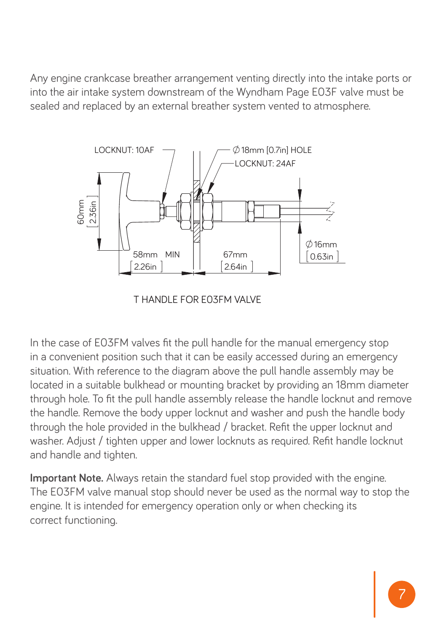Any engine crankcase breather arrangement venting directly into the intake ports or into the air intake system downstream of the Wyndham Page E03F valve must be sealed and replaced by an external breather system vented to atmosphere.



T HANDLE FOR E03FM VALVE

In the case of E03FM valves fit the pull handle for the manual emergency stop in a convenient position such that it can be easily accessed during an emergency situation. With reference to the diagram above the pull handle assembly may be located in a suitable bulkhead or mounting bracket by providing an 18mm diameter through hole. To fit the pull handle assembly release the handle locknut and remove the handle. Remove the body upper locknut and washer and push the handle body through the hole provided in the bulkhead / bracket. Refit the upper locknut and washer. Adjust / tighten upper and lower locknuts as required. Refit handle locknut and handle and tighten.

**Important Note.** Always retain the standard fuel stop provided with the engine. The E03FM valve manual stop should never be used as the normal way to stop the engine. It is intended for emergency operation only or when checking its correct functioning.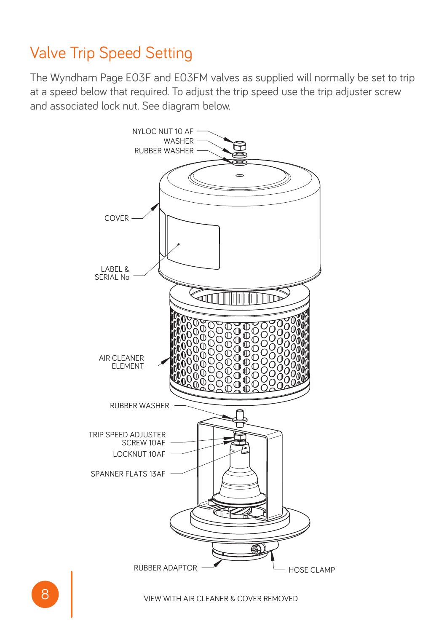#### Valve Trip Speed Setting

The Wyndham Page E03F and E03FM valves as supplied will normally be set to trip at a speed below that required. To adjust the trip speed use the trip adjuster screw and associated lock nut. See diagram below.

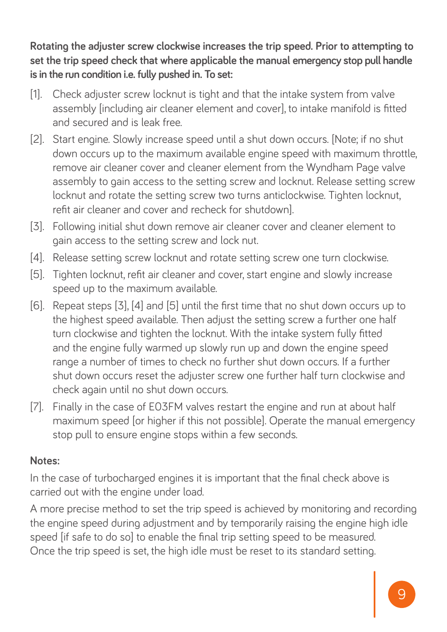**Rotating the adjuster screw clockwise increases the trip speed. Prior to attempting to set the trip speed check that where applicable the manual emergency stop pull handle is in the run condition i.e. fully pushed in. To set:**

- [1]. Check adjuster screw locknut is tight and that the intake system from valve assembly [including air cleaner element and cover], to intake manifold is fitted and secured and is leak free.
- [2]. Start engine. Slowly increase speed until a shut down occurs. [Note; if no shut down occurs up to the maximum available engine speed with maximum throttle, remove air cleaner cover and cleaner element from the Wyndham Page valve assembly to gain access to the setting screw and locknut. Release setting screw locknut and rotate the setting screw two turns anticlockwise. Tighten locknut, refit air cleaner and cover and recheck for shutdown].
- [3]. Following initial shut down remove air cleaner cover and cleaner element to gain access to the setting screw and lock nut.
- [4]. Release setting screw locknut and rotate setting screw one turn clockwise.
- [5]. Tighten locknut, refit air cleaner and cover, start engine and slowly increase speed up to the maximum available.
- [6]. Repeat steps [3], [4] and [5] until the first time that no shut down occurs up to the highest speed available. Then adjust the setting screw a further one half turn clockwise and tighten the locknut. With the intake system fully fitted and the engine fully warmed up slowly run up and down the engine speed range a number of times to check no further shut down occurs. If a further shut down occurs reset the adjuster screw one further half turn clockwise and check again until no shut down occurs.
- [7]. Finally in the case of E03FM valves restart the engine and run at about half maximum speed for higher if this not possible]. Operate the manual emergency stop pull to ensure engine stops within a few seconds.

#### **Notes:**

In the case of turbocharged engines it is important that the final check above is carried out with the engine under load.

A more precise method to set the trip speed is achieved by monitoring and recording the engine speed during adjustment and by temporarily raising the engine high idle speed lif safe to do sol to enable the final trip setting speed to be measured. Once the trip speed is set, the high idle must be reset to its standard setting.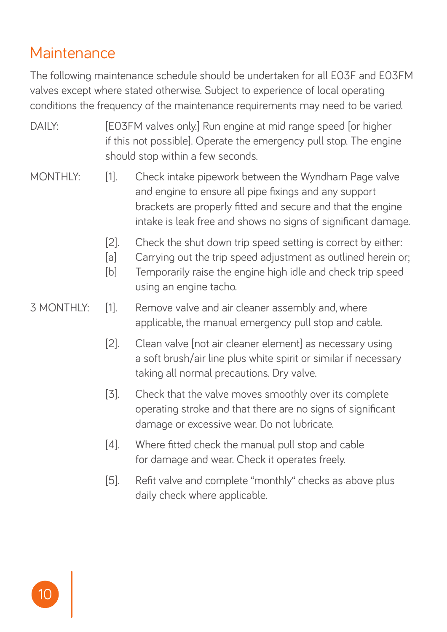#### **Maintenance**

The following maintenance schedule should be undertaken for all E03F and E03FM valves except where stated otherwise. Subject to experience of local operating conditions the frequency of the maintenance requirements may need to be varied.

- DAILY: [E03FM valves only.] Run engine at mid range speed for higher if this not possible]. Operate the emergency pull stop. The engine should stop within a few seconds.
- MONTHLY: [1]. Check intake pipework between the Wyndham Page valve and engine to ensure all pipe fixings and any support brackets are properly fitted and secure and that the engine intake is leak free and shows no signs of significant damage.
	- [2]. Check the shut down trip speed setting is correct by either:
	- [a] Carrying out the trip speed adjustment as outlined herein or;
	- [b] Temporarily raise the engine high idle and check trip speed using an engine tacho.
- 3 MONTHLY: [1]. Remove valve and air cleaner assembly and, where applicable, the manual emergency pull stop and cable.
	- [2]. Clean valve Inot air cleaner element] as necessary using a soft brush/air line plus white spirit or similar if necessary taking all normal precautions. Dry valve.
	- [3]. Check that the valve moves smoothly over its complete operating stroke and that there are no signs of significant damage or excessive wear. Do not lubricate.
	- [4]. Where fitted check the manual pull stop and cable for damage and wear. Check it operates freely.
	- [5]. Refit valve and complete "monthly" checks as above plus daily check where applicable.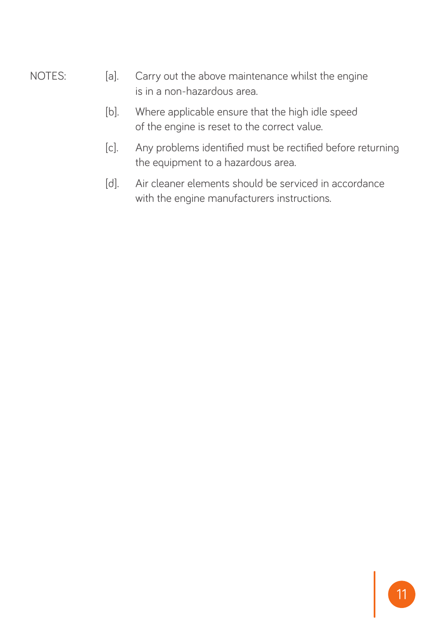- NOTES: [a]. Carry out the above maintenance whilst the engine is in a non-hazardous area.
	- [b]. Where applicable ensure that the high idle speed of the engine is reset to the correct value.
	- [c]. Any problems identified must be rectified before returning the equipment to a hazardous area.
	- [d]. Air cleaner elements should be serviced in accordance with the engine manufacturers instructions.